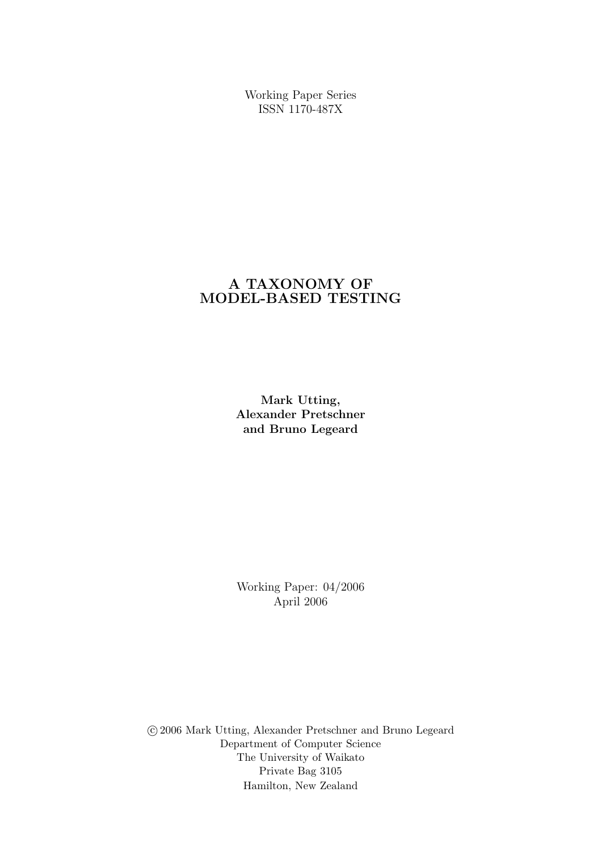Working Paper Series ISSN 1170-487X

# A TAXONOMY OF MODEL-BASED TESTING

Mark Utting, Alexander Pretschner and Bruno Legeard

Working Paper: 04/2006 April 2006

 c 2006 Mark Utting, Alexander Pretschner and Bruno Legeard Department of Computer Science The University of Waikato Private Bag 3105 Hamilton, New Zealand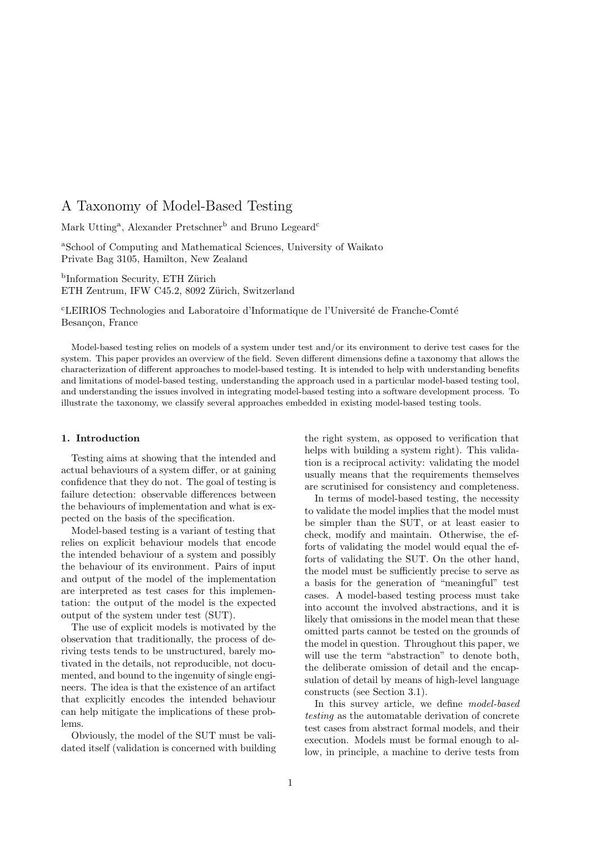Mark Utting<sup>a</sup>, Alexander Pretschner<sup>b</sup> and Bruno Legeard<sup>c</sup>

<sup>a</sup>School of Computing and Mathematical Sciences, University of Waikato Private Bag 3105, Hamilton, New Zealand

<sup>b</sup>Information Security, ETH Zürich ETH Zentrum, IFW C45.2, 8092 Zürich, Switzerland

 $\rm^cLEIRIOS$  Technologies and Laboratoire d'Informatique de l'Université de Franche-Comté Besançon, France

Model-based testing relies on models of a system under test and/or its environment to derive test cases for the system. This paper provides an overview of the field. Seven different dimensions define a taxonomy that allows the characterization of different approaches to model-based testing. It is intended to help with understanding benefits and limitations of model-based testing, understanding the approach used in a particular model-based testing tool, and understanding the issues involved in integrating model-based testing into a software development process. To illustrate the taxonomy, we classify several approaches embedded in existing model-based testing tools.

#### 1. Introduction

Testing aims at showing that the intended and actual behaviours of a system differ, or at gaining confidence that they do not. The goal of testing is failure detection: observable differences between the behaviours of implementation and what is expected on the basis of the specification.

Model-based testing is a variant of testing that relies on explicit behaviour models that encode the intended behaviour of a system and possibly the behaviour of its environment. Pairs of input and output of the model of the implementation are interpreted as test cases for this implementation: the output of the model is the expected output of the system under test (SUT).

The use of explicit models is motivated by the observation that traditionally, the process of deriving tests tends to be unstructured, barely motivated in the details, not reproducible, not documented, and bound to the ingenuity of single engineers. The idea is that the existence of an artifact that explicitly encodes the intended behaviour can help mitigate the implications of these problems.

Obviously, the model of the SUT must be validated itself (validation is concerned with building the right system, as opposed to verification that helps with building a system right). This validation is a reciprocal activity: validating the model usually means that the requirements themselves are scrutinised for consistency and completeness.

In terms of model-based testing, the necessity to validate the model implies that the model must be simpler than the SUT, or at least easier to check, modify and maintain. Otherwise, the efforts of validating the model would equal the efforts of validating the SUT. On the other hand, the model must be sufficiently precise to serve as a basis for the generation of "meaningful" test cases. A model-based testing process must take into account the involved abstractions, and it is likely that omissions in the model mean that these omitted parts cannot be tested on the grounds of the model in question. Throughout this paper, we will use the term "abstraction" to denote both, the deliberate omission of detail and the encapsulation of detail by means of high-level language constructs (see Section 3.1).

In this survey article, we define model-based testing as the automatable derivation of concrete test cases from abstract formal models, and their execution. Models must be formal enough to allow, in principle, a machine to derive tests from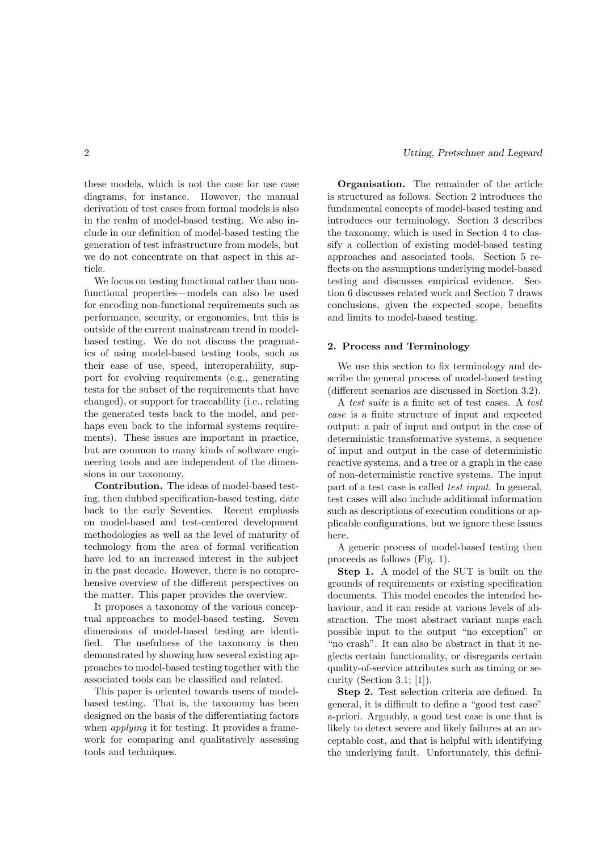these models, which is not the case for use case diagrams, for instance. However, the manual derivation of test cases from formal models is also in the realm of model-based testing. We also include in our definition of model-based testing the generation of test infrastructure from models, but we do not concentrate on that aspect in this article.

We focus on testing functional rather than nonfunctional properties—models can also be used for encoding non-functional requirements such as performance, security, or ergonomics, but this is outside of the current mainstream trend in modelbased testing. We do not discuss the pragmatics of using model-based testing tools, such as their ease of use, speed, interoperability, support for evolving requirements (e.g., generating tests for the subset of the requirements that have changed), or support for traceability (i.e., relating the generated tests back to the model, and perhaps even back to the informal systems requirements). These issues are important in practice, but are common to many kinds of software engineering tools and are independent of the dimensions in our taxonomy.

Contribution. The ideas of model-based testing, then dubbed specification-based testing, date back to the early Seventies. Recent emphasis on model-based and test-centered development methodologies as well as the level of maturity of technology from the area of formal verification have led to an increased interest in the subject in the past decade. However, there is no comprehensive overview of the different perspectives on the matter. This paper provides the overview.

It proposes a taxonomy of the various conceptual approaches to model-based testing. Seven dimensions of model-based testing are identified. The usefulness of the taxonomy is then demonstrated by showing how several existing approaches to model-based testing together with the associated tools can be classified and related.

This paper is oriented towards users of modelbased testing. That is, the taxonomy has been designed on the basis of the differentiating factors when *applying* it for testing. It provides a framework for comparing and qualitatively assessing tools and techniques.

Organisation. The remainder of the article is structured as follows. Section 2 introduces the fundamental concepts of model-based testing and introduces our terminology. Section 3 describes the taxonomy, which is used in Section 4 to classify a collection of existing model-based testing approaches and associated tools. Section 5 reflects on the assumptions underlying model-based testing and discusses empirical evidence. Section 6 discusses related work and Section 7 draws conclusions, given the expected scope, benefits and limits to model-based testing.

#### 2. Process and Terminology

We use this section to fix terminology and describe the general process of model-based testing (different scenarios are discussed in Section 3.2).

A test suite is a finite set of test cases. A test case is a finite structure of input and expected output: a pair of input and output in the case of deterministic transformative systems, a sequence of input and output in the case of deterministic reactive systems, and a tree or a graph in the case of non-deterministic reactive systems. The input part of a test case is called test input. In general, test cases will also include additional information such as descriptions of execution conditions or applicable configurations, but we ignore these issues here.

A generic process of model-based testing then proceeds as follows (Fig. 1).

Step 1. A model of the SUT is built on the grounds of requirements or existing specification documents. This model encodes the intended behaviour, and it can reside at various levels of abstraction. The most abstract variant maps each possible input to the output "no exception" or "no crash". It can also be abstract in that it neglects certain functionality, or disregards certain quality-of-service attributes such as timing or security (Section 3.1; [1]).

Step 2. Test selection criteria are defined. In general, it is difficult to define a "good test case" a-priori. Arguably, a good test case is one that is likely to detect severe and likely failures at an acceptable cost, and that is helpful with identifying the underlying fault. Unfortunately, this defini-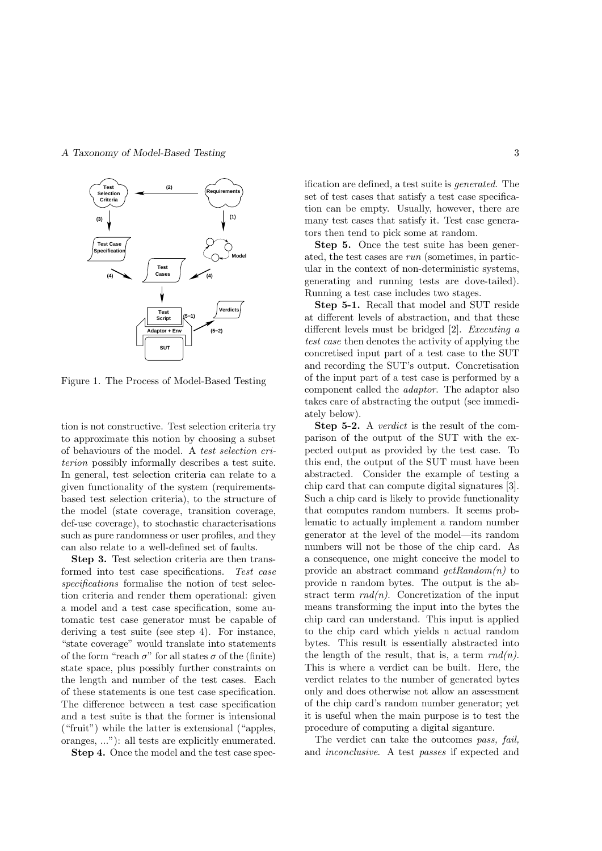

Figure 1. The Process of Model-Based Testing

tion is not constructive. Test selection criteria try to approximate this notion by choosing a subset of behaviours of the model. A test selection criterion possibly informally describes a test suite. In general, test selection criteria can relate to a given functionality of the system (requirementsbased test selection criteria), to the structure of the model (state coverage, transition coverage, def-use coverage), to stochastic characterisations such as pure randomness or user profiles, and they can also relate to a well-defined set of faults.

Step 3. Test selection criteria are then transformed into test case specifications. Test case specifications formalise the notion of test selection criteria and render them operational: given a model and a test case specification, some automatic test case generator must be capable of deriving a test suite (see step 4). For instance, "state coverage" would translate into statements of the form "reach  $\sigma$ " for all states  $\sigma$  of the (finite) state space, plus possibly further constraints on the length and number of the test cases. Each of these statements is one test case specification. The difference between a test case specification and a test suite is that the former is intensional ("fruit") while the latter is extensional ("apples, oranges, ..."): all tests are explicitly enumerated.

Step 4. Once the model and the test case spec-

ification are defined, a test suite is generated. The set of test cases that satisfy a test case specification can be empty. Usually, however, there are many test cases that satisfy it. Test case generators then tend to pick some at random.

Step 5. Once the test suite has been generated, the test cases are run (sometimes, in particular in the context of non-deterministic systems, generating and running tests are dove-tailed). Running a test case includes two stages.

Step 5-1. Recall that model and SUT reside at different levels of abstraction, and that these different levels must be bridged [2]. Executing a test case then denotes the activity of applying the concretised input part of a test case to the SUT and recording the SUT's output. Concretisation of the input part of a test case is performed by a component called the adaptor. The adaptor also takes care of abstracting the output (see immediately below).

Step 5-2. A *verdict* is the result of the comparison of the output of the SUT with the expected output as provided by the test case. To this end, the output of the SUT must have been abstracted. Consider the example of testing a chip card that can compute digital signatures [3]. Such a chip card is likely to provide functionality that computes random numbers. It seems problematic to actually implement a random number generator at the level of the model—its random numbers will not be those of the chip card. As a consequence, one might conceive the model to provide an abstract command  $getRandom(n)$  to provide n random bytes. The output is the abstract term  $rnd(n)$ . Concretization of the input means transforming the input into the bytes the chip card can understand. This input is applied to the chip card which yields n actual random bytes. This result is essentially abstracted into the length of the result, that is, a term  $rnd(n)$ . This is where a verdict can be built. Here, the verdict relates to the number of generated bytes only and does otherwise not allow an assessment of the chip card's random number generator; yet it is useful when the main purpose is to test the procedure of computing a digital siganture.

The verdict can take the outcomes pass, fail, and inconclusive. A test passes if expected and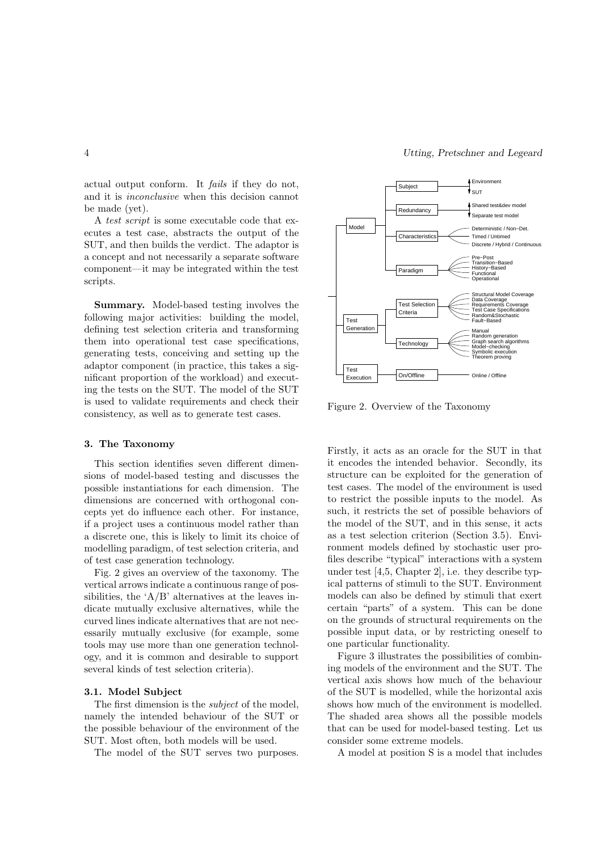actual output conform. It fails if they do not, and it is inconclusive when this decision cannot be made (yet).

A test script is some executable code that executes a test case, abstracts the output of the SUT, and then builds the verdict. The adaptor is a concept and not necessarily a separate software component—it may be integrated within the test scripts.

Summary. Model-based testing involves the following major activities: building the model, defining test selection criteria and transforming them into operational test case specifications, generating tests, conceiving and setting up the adaptor component (in practice, this takes a significant proportion of the workload) and executing the tests on the SUT. The model of the SUT is used to validate requirements and check their consistency, as well as to generate test cases.

#### 3. The Taxonomy

This section identifies seven different dimensions of model-based testing and discusses the possible instantiations for each dimension. The dimensions are concerned with orthogonal concepts yet do influence each other. For instance, if a project uses a continuous model rather than a discrete one, this is likely to limit its choice of modelling paradigm, of test selection criteria, and of test case generation technology.

Fig. 2 gives an overview of the taxonomy. The vertical arrows indicate a continuous range of possibilities, the ' $A/B$ ' alternatives at the leaves indicate mutually exclusive alternatives, while the curved lines indicate alternatives that are not necessarily mutually exclusive (for example, some tools may use more than one generation technology, and it is common and desirable to support several kinds of test selection criteria).

#### 3.1. Model Subject

The first dimension is the subject of the model, namely the intended behaviour of the SUT or the possible behaviour of the environment of the SUT. Most often, both models will be used.

The model of the SUT serves two purposes.



Figure 2. Overview of the Taxonomy

Firstly, it acts as an oracle for the SUT in that it encodes the intended behavior. Secondly, its structure can be exploited for the generation of test cases. The model of the environment is used to restrict the possible inputs to the model. As such, it restricts the set of possible behaviors of the model of the SUT, and in this sense, it acts as a test selection criterion (Section 3.5). Environment models defined by stochastic user profiles describe "typical" interactions with a system under test [4,5, Chapter 2], i.e. they describe typical patterns of stimuli to the SUT. Environment models can also be defined by stimuli that exert certain "parts" of a system. This can be done on the grounds of structural requirements on the possible input data, or by restricting oneself to one particular functionality.

Figure 3 illustrates the possibilities of combining models of the environment and the SUT. The vertical axis shows how much of the behaviour of the SUT is modelled, while the horizontal axis shows how much of the environment is modelled. The shaded area shows all the possible models that can be used for model-based testing. Let us consider some extreme models.

A model at position S is a model that includes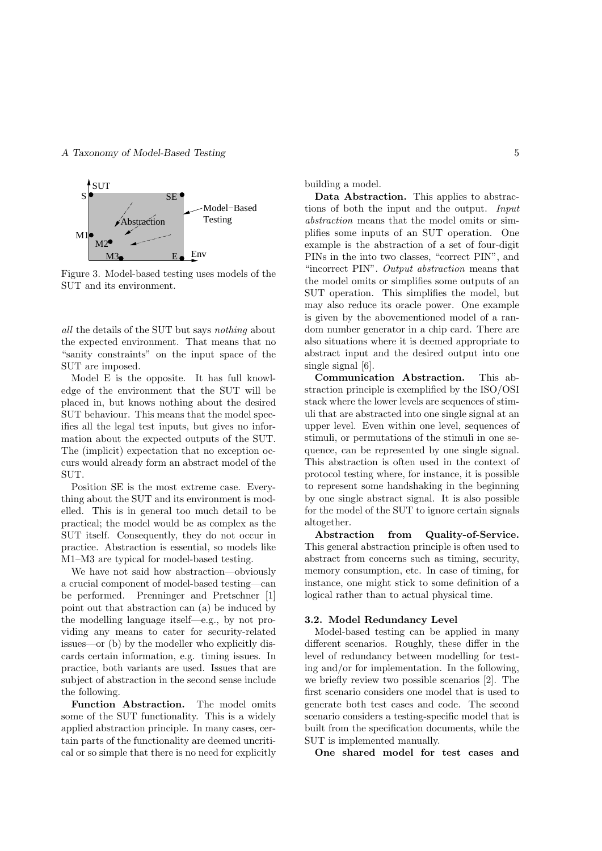

Figure 3. Model-based testing uses models of the SUT and its environment.

all the details of the SUT but says nothing about the expected environment. That means that no "sanity constraints" on the input space of the SUT are imposed.

Model E is the opposite. It has full knowledge of the environment that the SUT will be placed in, but knows nothing about the desired SUT behaviour. This means that the model specifies all the legal test inputs, but gives no information about the expected outputs of the SUT. The (implicit) expectation that no exception occurs would already form an abstract model of the SUT.

Position SE is the most extreme case. Everything about the SUT and its environment is modelled. This is in general too much detail to be practical; the model would be as complex as the SUT itself. Consequently, they do not occur in practice. Abstraction is essential, so models like M1–M3 are typical for model-based testing.

We have not said how abstraction—obviously a crucial component of model-based testing—can be performed. Prenninger and Pretschner [1] point out that abstraction can (a) be induced by the modelling language itself—e.g., by not providing any means to cater for security-related issues—or (b) by the modeller who explicitly discards certain information, e.g. timing issues. In practice, both variants are used. Issues that are subject of abstraction in the second sense include the following.

Function Abstraction. The model omits some of the SUT functionality. This is a widely applied abstraction principle. In many cases, certain parts of the functionality are deemed uncritical or so simple that there is no need for explicitly building a model.

Data Abstraction. This applies to abstractions of both the input and the output. Input abstraction means that the model omits or simplifies some inputs of an SUT operation. One example is the abstraction of a set of four-digit PINs in the into two classes, "correct PIN", and "incorrect PIN". Output abstraction means that the model omits or simplifies some outputs of an SUT operation. This simplifies the model, but may also reduce its oracle power. One example is given by the abovementioned model of a random number generator in a chip card. There are also situations where it is deemed appropriate to abstract input and the desired output into one single signal [6].

Communication Abstraction. This abstraction principle is exemplified by the ISO/OSI stack where the lower levels are sequences of stimuli that are abstracted into one single signal at an upper level. Even within one level, sequences of stimuli, or permutations of the stimuli in one sequence, can be represented by one single signal. This abstraction is often used in the context of protocol testing where, for instance, it is possible to represent some handshaking in the beginning by one single abstract signal. It is also possible for the model of the SUT to ignore certain signals altogether.

Abstraction from Quality-of-Service. This general abstraction principle is often used to abstract from concerns such as timing, security, memory consumption, etc. In case of timing, for instance, one might stick to some definition of a logical rather than to actual physical time.

#### 3.2. Model Redundancy Level

Model-based testing can be applied in many different scenarios. Roughly, these differ in the level of redundancy between modelling for testing and/or for implementation. In the following, we briefly review two possible scenarios [2]. The first scenario considers one model that is used to generate both test cases and code. The second scenario considers a testing-specific model that is built from the specification documents, while the SUT is implemented manually.

One shared model for test cases and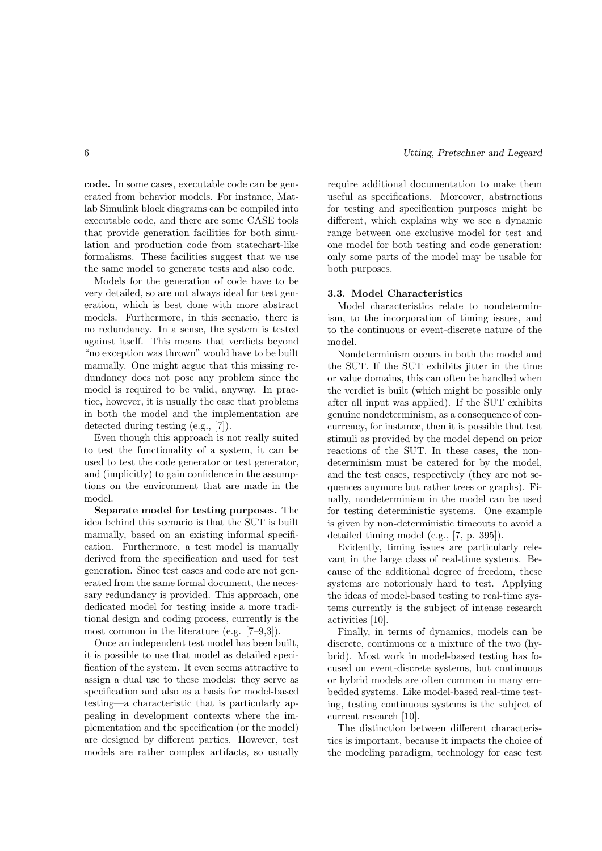code. In some cases, executable code can be generated from behavior models. For instance, Matlab Simulink block diagrams can be compiled into executable code, and there are some CASE tools that provide generation facilities for both simulation and production code from statechart-like formalisms. These facilities suggest that we use the same model to generate tests and also code.

Models for the generation of code have to be very detailed, so are not always ideal for test generation, which is best done with more abstract models. Furthermore, in this scenario, there is no redundancy. In a sense, the system is tested against itself. This means that verdicts beyond "no exception was thrown" would have to be built manually. One might argue that this missing redundancy does not pose any problem since the model is required to be valid, anyway. In practice, however, it is usually the case that problems in both the model and the implementation are detected during testing (e.g., [7]).

Even though this approach is not really suited to test the functionality of a system, it can be used to test the code generator or test generator, and (implicitly) to gain confidence in the assumptions on the environment that are made in the model.

Separate model for testing purposes. The idea behind this scenario is that the SUT is built manually, based on an existing informal specification. Furthermore, a test model is manually derived from the specification and used for test generation. Since test cases and code are not generated from the same formal document, the necessary redundancy is provided. This approach, one dedicated model for testing inside a more traditional design and coding process, currently is the most common in the literature (e.g. [7–9,3]).

Once an independent test model has been built, it is possible to use that model as detailed specification of the system. It even seems attractive to assign a dual use to these models: they serve as specification and also as a basis for model-based testing—a characteristic that is particularly appealing in development contexts where the implementation and the specification (or the model) are designed by different parties. However, test models are rather complex artifacts, so usually require additional documentation to make them useful as specifications. Moreover, abstractions for testing and specification purposes might be different, which explains why we see a dynamic range between one exclusive model for test and one model for both testing and code generation: only some parts of the model may be usable for both purposes.

## 3.3. Model Characteristics

Model characteristics relate to nondeterminism, to the incorporation of timing issues, and to the continuous or event-discrete nature of the model.

Nondeterminism occurs in both the model and the SUT. If the SUT exhibits jitter in the time or value domains, this can often be handled when the verdict is built (which might be possible only after all input was applied). If the SUT exhibits genuine nondeterminism, as a consequence of concurrency, for instance, then it is possible that test stimuli as provided by the model depend on prior reactions of the SUT. In these cases, the nondeterminism must be catered for by the model, and the test cases, respectively (they are not sequences anymore but rather trees or graphs). Finally, nondeterminism in the model can be used for testing deterministic systems. One example is given by non-deterministic timeouts to avoid a detailed timing model (e.g., [7, p. 395]).

Evidently, timing issues are particularly relevant in the large class of real-time systems. Because of the additional degree of freedom, these systems are notoriously hard to test. Applying the ideas of model-based testing to real-time systems currently is the subject of intense research activities [10].

Finally, in terms of dynamics, models can be discrete, continuous or a mixture of the two (hybrid). Most work in model-based testing has focused on event-discrete systems, but continuous or hybrid models are often common in many embedded systems. Like model-based real-time testing, testing continuous systems is the subject of current research [10].

The distinction between different characteristics is important, because it impacts the choice of the modeling paradigm, technology for case test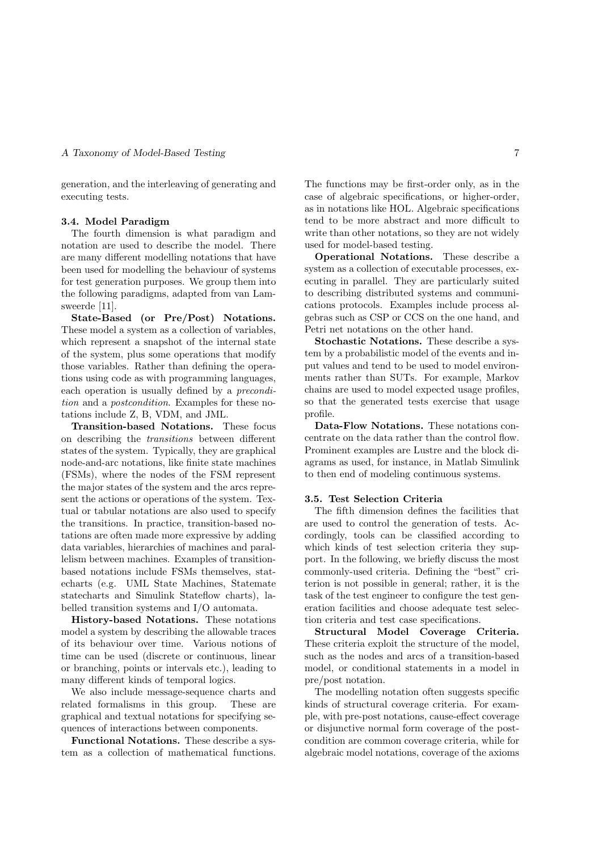generation, and the interleaving of generating and executing tests.

#### 3.4. Model Paradigm

The fourth dimension is what paradigm and notation are used to describe the model. There are many different modelling notations that have been used for modelling the behaviour of systems for test generation purposes. We group them into the following paradigms, adapted from van Lamsweerde [11].

State-Based (or Pre/Post) Notations. These model a system as a collection of variables, which represent a snapshot of the internal state of the system, plus some operations that modify those variables. Rather than defining the operations using code as with programming languages, each operation is usually defined by a precondition and a postcondition. Examples for these notations include Z, B, VDM, and JML.

Transition-based Notations. These focus on describing the transitions between different states of the system. Typically, they are graphical node-and-arc notations, like finite state machines (FSMs), where the nodes of the FSM represent the major states of the system and the arcs represent the actions or operations of the system. Textual or tabular notations are also used to specify the transitions. In practice, transition-based notations are often made more expressive by adding data variables, hierarchies of machines and parallelism between machines. Examples of transitionbased notations include FSMs themselves, statecharts (e.g. UML State Machines, Statemate statecharts and Simulink Stateflow charts), labelled transition systems and I/O automata.

History-based Notations. These notations model a system by describing the allowable traces of its behaviour over time. Various notions of time can be used (discrete or continuous, linear or branching, points or intervals etc.), leading to many different kinds of temporal logics.

We also include message-sequence charts and related formalisms in this group. These are graphical and textual notations for specifying sequences of interactions between components.

Functional Notations. These describe a system as a collection of mathematical functions. The functions may be first-order only, as in the case of algebraic specifications, or higher-order, as in notations like HOL. Algebraic specifications tend to be more abstract and more difficult to write than other notations, so they are not widely used for model-based testing.

Operational Notations. These describe a system as a collection of executable processes, executing in parallel. They are particularly suited to describing distributed systems and communications protocols. Examples include process algebras such as CSP or CCS on the one hand, and Petri net notations on the other hand.

Stochastic Notations. These describe a system by a probabilistic model of the events and input values and tend to be used to model environments rather than SUTs. For example, Markov chains are used to model expected usage profiles, so that the generated tests exercise that usage profile.

Data-Flow Notations. These notations concentrate on the data rather than the control flow. Prominent examples are Lustre and the block diagrams as used, for instance, in Matlab Simulink to then end of modeling continuous systems.

#### 3.5. Test Selection Criteria

The fifth dimension defines the facilities that are used to control the generation of tests. Accordingly, tools can be classified according to which kinds of test selection criteria they support. In the following, we briefly discuss the most commonly-used criteria. Defining the "best" criterion is not possible in general; rather, it is the task of the test engineer to configure the test generation facilities and choose adequate test selection criteria and test case specifications.

Structural Model Coverage Criteria. These criteria exploit the structure of the model, such as the nodes and arcs of a transition-based model, or conditional statements in a model in pre/post notation.

The modelling notation often suggests specific kinds of structural coverage criteria. For example, with pre-post notations, cause-effect coverage or disjunctive normal form coverage of the postcondition are common coverage criteria, while for algebraic model notations, coverage of the axioms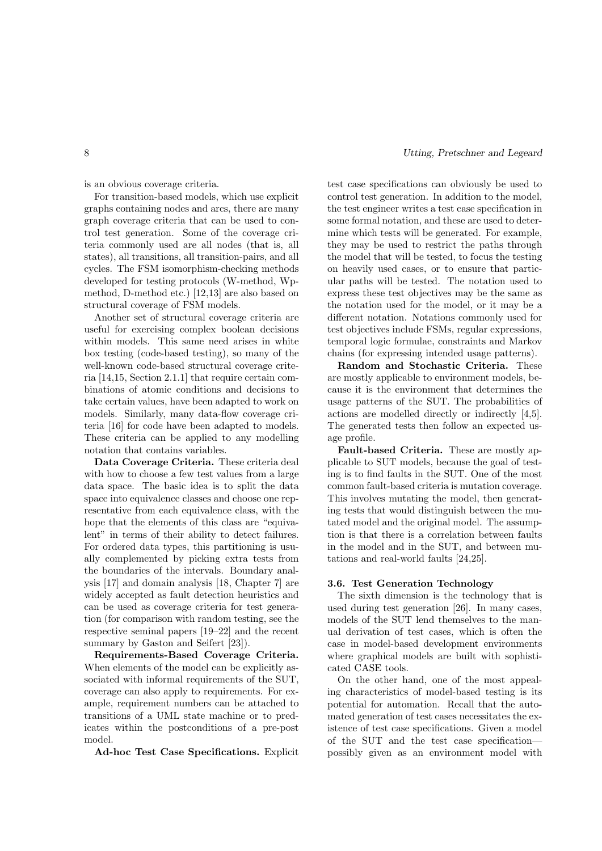is an obvious coverage criteria.

For transition-based models, which use explicit graphs containing nodes and arcs, there are many graph coverage criteria that can be used to control test generation. Some of the coverage criteria commonly used are all nodes (that is, all states), all transitions, all transition-pairs, and all cycles. The FSM isomorphism-checking methods developed for testing protocols (W-method, Wpmethod, D-method etc.) [12,13] are also based on structural coverage of FSM models.

Another set of structural coverage criteria are useful for exercising complex boolean decisions within models. This same need arises in white box testing (code-based testing), so many of the well-known code-based structural coverage criteria [14,15, Section 2.1.1] that require certain combinations of atomic conditions and decisions to take certain values, have been adapted to work on models. Similarly, many data-flow coverage criteria [16] for code have been adapted to models. These criteria can be applied to any modelling notation that contains variables.

Data Coverage Criteria. These criteria deal with how to choose a few test values from a large data space. The basic idea is to split the data space into equivalence classes and choose one representative from each equivalence class, with the hope that the elements of this class are "equivalent" in terms of their ability to detect failures. For ordered data types, this partitioning is usually complemented by picking extra tests from the boundaries of the intervals. Boundary analysis [17] and domain analysis [18, Chapter 7] are widely accepted as fault detection heuristics and can be used as coverage criteria for test generation (for comparison with random testing, see the respective seminal papers [19–22] and the recent summary by Gaston and Seifert [23]).

Requirements-Based Coverage Criteria. When elements of the model can be explicitly associated with informal requirements of the SUT, coverage can also apply to requirements. For example, requirement numbers can be attached to transitions of a UML state machine or to predicates within the postconditions of a pre-post model.

Ad-hoc Test Case Specifications. Explicit

test case specifications can obviously be used to control test generation. In addition to the model, the test engineer writes a test case specification in some formal notation, and these are used to determine which tests will be generated. For example, they may be used to restrict the paths through the model that will be tested, to focus the testing on heavily used cases, or to ensure that particular paths will be tested. The notation used to express these test objectives may be the same as the notation used for the model, or it may be a different notation. Notations commonly used for test objectives include FSMs, regular expressions, temporal logic formulae, constraints and Markov chains (for expressing intended usage patterns).

Random and Stochastic Criteria. These are mostly applicable to environment models, because it is the environment that determines the usage patterns of the SUT. The probabilities of actions are modelled directly or indirectly [4,5]. The generated tests then follow an expected usage profile.

Fault-based Criteria. These are mostly applicable to SUT models, because the goal of testing is to find faults in the SUT. One of the most common fault-based criteria is mutation coverage. This involves mutating the model, then generating tests that would distinguish between the mutated model and the original model. The assumption is that there is a correlation between faults in the model and in the SUT, and between mutations and real-world faults [24,25].

#### 3.6. Test Generation Technology

The sixth dimension is the technology that is used during test generation [26]. In many cases, models of the SUT lend themselves to the manual derivation of test cases, which is often the case in model-based development environments where graphical models are built with sophisticated CASE tools.

On the other hand, one of the most appealing characteristics of model-based testing is its potential for automation. Recall that the automated generation of test cases necessitates the existence of test case specifications. Given a model of the SUT and the test case specification possibly given as an environment model with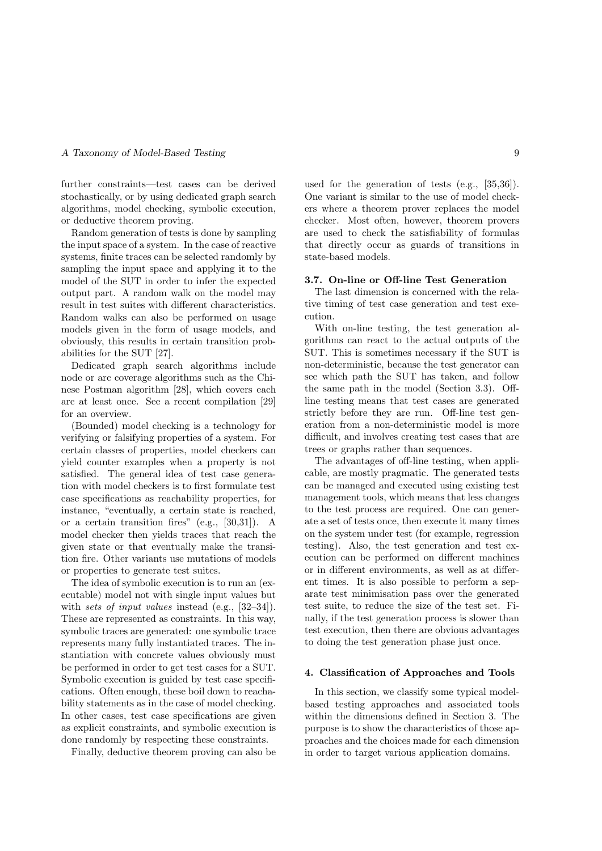further constraints—test cases can be derived stochastically, or by using dedicated graph search algorithms, model checking, symbolic execution, or deductive theorem proving.

Random generation of tests is done by sampling the input space of a system. In the case of reactive systems, finite traces can be selected randomly by sampling the input space and applying it to the model of the SUT in order to infer the expected output part. A random walk on the model may result in test suites with different characteristics. Random walks can also be performed on usage models given in the form of usage models, and obviously, this results in certain transition probabilities for the SUT [27].

Dedicated graph search algorithms include node or arc coverage algorithms such as the Chinese Postman algorithm [28], which covers each arc at least once. See a recent compilation [29] for an overview.

(Bounded) model checking is a technology for verifying or falsifying properties of a system. For certain classes of properties, model checkers can yield counter examples when a property is not satisfied. The general idea of test case generation with model checkers is to first formulate test case specifications as reachability properties, for instance, "eventually, a certain state is reached, or a certain transition fires" (e.g., [30,31]). A model checker then yields traces that reach the given state or that eventually make the transition fire. Other variants use mutations of models or properties to generate test suites.

The idea of symbolic execution is to run an (executable) model not with single input values but with *sets of input values* instead (e.g., [32–34]). These are represented as constraints. In this way, symbolic traces are generated: one symbolic trace represents many fully instantiated traces. The instantiation with concrete values obviously must be performed in order to get test cases for a SUT. Symbolic execution is guided by test case specifications. Often enough, these boil down to reachability statements as in the case of model checking. In other cases, test case specifications are given as explicit constraints, and symbolic execution is done randomly by respecting these constraints.

Finally, deductive theorem proving can also be

used for the generation of tests (e.g., [35,36]). One variant is similar to the use of model checkers where a theorem prover replaces the model checker. Most often, however, theorem provers are used to check the satisfiability of formulas that directly occur as guards of transitions in state-based models.

#### 3.7. On-line or Off-line Test Generation

The last dimension is concerned with the relative timing of test case generation and test execution.

With on-line testing, the test generation algorithms can react to the actual outputs of the SUT. This is sometimes necessary if the SUT is non-deterministic, because the test generator can see which path the SUT has taken, and follow the same path in the model (Section 3.3). Offline testing means that test cases are generated strictly before they are run. Off-line test generation from a non-deterministic model is more difficult, and involves creating test cases that are trees or graphs rather than sequences.

The advantages of off-line testing, when applicable, are mostly pragmatic. The generated tests can be managed and executed using existing test management tools, which means that less changes to the test process are required. One can generate a set of tests once, then execute it many times on the system under test (for example, regression testing). Also, the test generation and test execution can be performed on different machines or in different environments, as well as at different times. It is also possible to perform a separate test minimisation pass over the generated test suite, to reduce the size of the test set. Finally, if the test generation process is slower than test execution, then there are obvious advantages to doing the test generation phase just once.

#### 4. Classification of Approaches and Tools

In this section, we classify some typical modelbased testing approaches and associated tools within the dimensions defined in Section 3. The purpose is to show the characteristics of those approaches and the choices made for each dimension in order to target various application domains.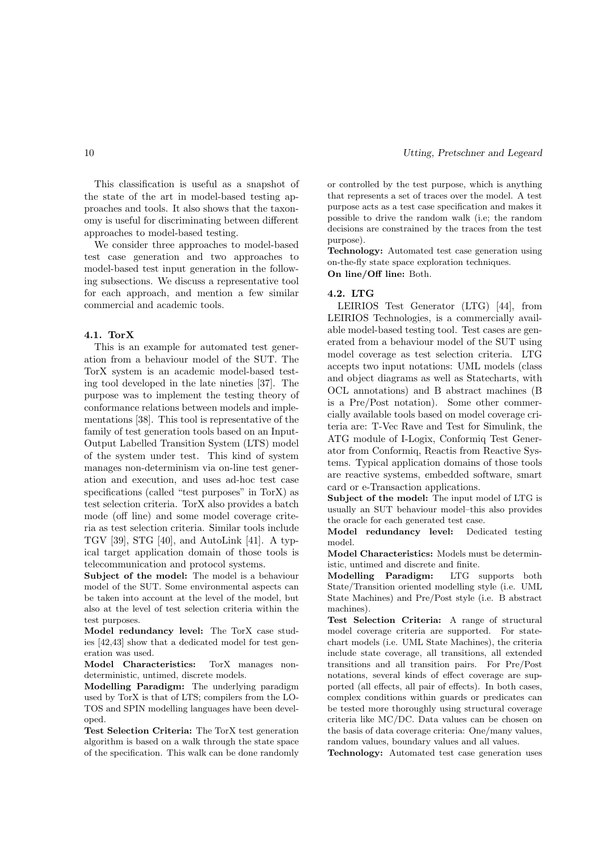This classification is useful as a snapshot of the state of the art in model-based testing approaches and tools. It also shows that the taxonomy is useful for discriminating between different approaches to model-based testing.

We consider three approaches to model-based test case generation and two approaches to model-based test input generation in the following subsections. We discuss a representative tool for each approach, and mention a few similar commercial and academic tools.

#### 4.1. TorX

This is an example for automated test generation from a behaviour model of the SUT. The TorX system is an academic model-based testing tool developed in the late nineties [37]. The purpose was to implement the testing theory of conformance relations between models and implementations [38]. This tool is representative of the family of test generation tools based on an Input-Output Labelled Transition System (LTS) model of the system under test. This kind of system manages non-determinism via on-line test generation and execution, and uses ad-hoc test case specifications (called "test purposes" in TorX) as test selection criteria. TorX also provides a batch mode (off line) and some model coverage criteria as test selection criteria. Similar tools include TGV [39], STG [40], and AutoLink [41]. A typical target application domain of those tools is telecommunication and protocol systems.

Subject of the model: The model is a behaviour model of the SUT. Some environmental aspects can be taken into account at the level of the model, but also at the level of test selection criteria within the test purposes.

Model redundancy level: The TorX case studies [42,43] show that a dedicated model for test generation was used.

Model Characteristics: TorX manages nondeterministic, untimed, discrete models.

Modelling Paradigm: The underlying paradigm used by TorX is that of LTS; compilers from the LO-TOS and SPIN modelling languages have been developed.

Test Selection Criteria: The TorX test generation algorithm is based on a walk through the state space of the specification. This walk can be done randomly or controlled by the test purpose, which is anything that represents a set of traces over the model. A test purpose acts as a test case specification and makes it possible to drive the random walk (i.e; the random decisions are constrained by the traces from the test purpose).

Technology: Automated test case generation using on-the-fly state space exploration techniques. On line/Off line: Both.

#### 4.2. LTG

LEIRIOS Test Generator (LTG) [44], from LEIRIOS Technologies, is a commercially available model-based testing tool. Test cases are generated from a behaviour model of the SUT using model coverage as test selection criteria. LTG accepts two input notations: UML models (class and object diagrams as well as Statecharts, with OCL annotations) and B abstract machines (B is a Pre/Post notation). Some other commercially available tools based on model coverage criteria are: T-Vec Rave and Test for Simulink, the ATG module of I-Logix, Conformiq Test Generator from Conformiq, Reactis from Reactive Systems. Typical application domains of those tools are reactive systems, embedded software, smart card or e-Transaction applications.

Subject of the model: The input model of LTG is usually an SUT behaviour model–this also provides the oracle for each generated test case.

Model redundancy level: Dedicated testing model.

Model Characteristics: Models must be deterministic, untimed and discrete and finite.

Modelling Paradigm: LTG supports both State/Transition oriented modelling style (i.e. UML State Machines) and Pre/Post style (i.e. B abstract machines).

Test Selection Criteria: A range of structural model coverage criteria are supported. For statechart models (i.e. UML State Machines), the criteria include state coverage, all transitions, all extended transitions and all transition pairs. For Pre/Post notations, several kinds of effect coverage are supported (all effects, all pair of effects). In both cases, complex conditions within guards or predicates can be tested more thoroughly using structural coverage criteria like MC/DC. Data values can be chosen on the basis of data coverage criteria: One/many values, random values, boundary values and all values.

Technology: Automated test case generation uses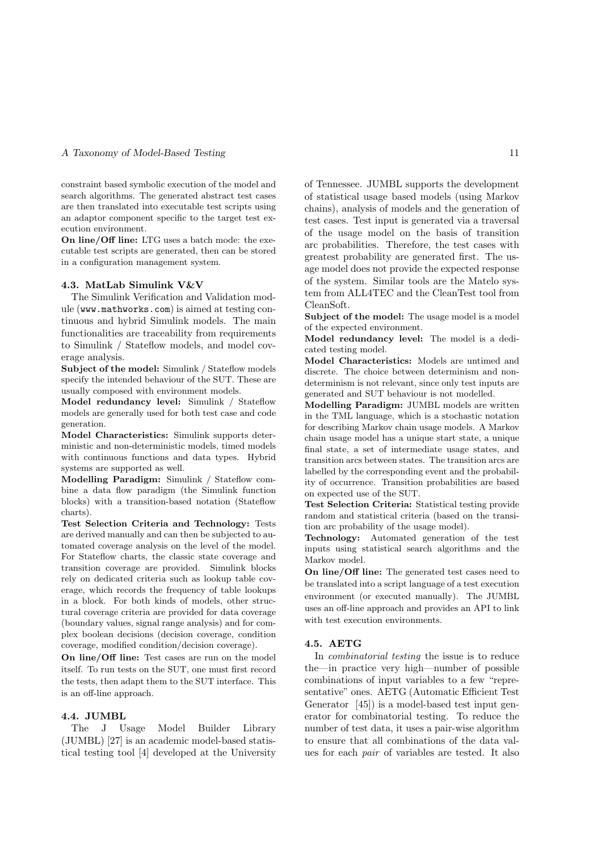constraint based symbolic execution of the model and search algorithms. The generated abstract test cases are then translated into executable test scripts using an adaptor component specific to the target test execution environment.

On line/Off line: LTG uses a batch mode: the executable test scripts are generated, then can be stored in a configuration management system.

#### 4.3. MatLab Simulink V&V

The Simulink Verification and Validation module (www.mathworks.com) is aimed at testing continuous and hybrid Simulink models. The main functionalities are traceability from requirements to Simulink / Stateflow models, and model coverage analysis.

Subject of the model: Simulink / Stateflow models specify the intended behaviour of the SUT. These are usually composed with environment models.

Model redundancy level: Simulink / Stateflow models are generally used for both test case and code generation.

Model Characteristics: Simulink supports deterministic and non-deterministic models, timed models with continuous functions and data types. Hybrid systems are supported as well.

Modelling Paradigm: Simulink / Stateflow combine a data flow paradigm (the Simulink function blocks) with a transition-based notation (Stateflow charts).

Test Selection Criteria and Technology: Tests are derived manually and can then be subjected to automated coverage analysis on the level of the model. For Stateflow charts, the classic state coverage and transition coverage are provided. Simulink blocks rely on dedicated criteria such as lookup table coverage, which records the frequency of table lookups in a block. For both kinds of models, other structural coverage criteria are provided for data coverage (boundary values, signal range analysis) and for complex boolean decisions (decision coverage, condition coverage, modified condition/decision coverage).

On line/Off line: Test cases are run on the model itself. To run tests on the SUT, one must first record the tests, then adapt them to the SUT interface. This is an off-line approach.

## 4.4. JUMBL

The J Usage Model Builder Library (JUMBL) [27] is an academic model-based statistical testing tool [4] developed at the University of Tennessee. JUMBL supports the development of statistical usage based models (using Markov chains), analysis of models and the generation of test cases. Test input is generated via a traversal of the usage model on the basis of transition arc probabilities. Therefore, the test cases with greatest probability are generated first. The usage model does not provide the expected response of the system. Similar tools are the Matelo system from ALL4TEC and the CleanTest tool from CleanSoft.

Subject of the model: The usage model is a model of the expected environment.

Model redundancy level: The model is a dedicated testing model.

Model Characteristics: Models are untimed and discrete. The choice between determinism and nondeterminism is not relevant, since only test inputs are generated and SUT behaviour is not modelled.

Modelling Paradigm: JUMBL models are written in the TML language, which is a stochastic notation for describing Markov chain usage models. A Markov chain usage model has a unique start state, a unique final state, a set of intermediate usage states, and transition arcs between states. The transition arcs are labelled by the corresponding event and the probability of occurrence. Transition probabilities are based on expected use of the SUT.

Test Selection Criteria: Statistical testing provide random and statistical criteria (based on the transition arc probability of the usage model).

Technology: Automated generation of the test inputs using statistical search algorithms and the Markov model.

On line/Off line: The generated test cases need to be translated into a script language of a test execution environment (or executed manually). The JUMBL uses an off-line approach and provides an API to link with test execution environments.

#### 4.5. AETG

In combinatorial testing the issue is to reduce the—in practice very high—number of possible combinations of input variables to a few "representative" ones. AETG (Automatic Efficient Test Generator [45]) is a model-based test input generator for combinatorial testing. To reduce the number of test data, it uses a pair-wise algorithm to ensure that all combinations of the data values for each pair of variables are tested. It also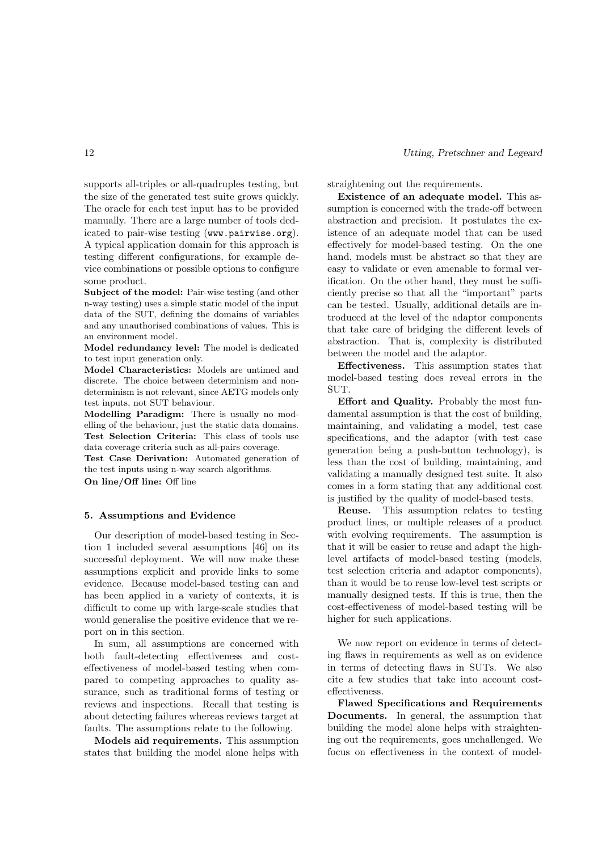supports all-triples or all-quadruples testing, but the size of the generated test suite grows quickly. The oracle for each test input has to be provided manually. There are a large number of tools dedicated to pair-wise testing (www.pairwise.org). A typical application domain for this approach is testing different configurations, for example device combinations or possible options to configure some product.

Subject of the model: Pair-wise testing (and other n-way testing) uses a simple static model of the input data of the SUT, defining the domains of variables and any unauthorised combinations of values. This is an environment model.

Model redundancy level: The model is dedicated to test input generation only.

Model Characteristics: Models are untimed and discrete. The choice between determinism and nondeterminism is not relevant, since AETG models only test inputs, not SUT behaviour.

Modelling Paradigm: There is usually no modelling of the behaviour, just the static data domains. Test Selection Criteria: This class of tools use data coverage criteria such as all-pairs coverage.

Test Case Derivation: Automated generation of the test inputs using n-way search algorithms.

On line/Off line: Off line

#### 5. Assumptions and Evidence

Our description of model-based testing in Section 1 included several assumptions [46] on its successful deployment. We will now make these assumptions explicit and provide links to some evidence. Because model-based testing can and has been applied in a variety of contexts, it is difficult to come up with large-scale studies that would generalise the positive evidence that we report on in this section.

In sum, all assumptions are concerned with both fault-detecting effectiveness and costeffectiveness of model-based testing when compared to competing approaches to quality assurance, such as traditional forms of testing or reviews and inspections. Recall that testing is about detecting failures whereas reviews target at faults. The assumptions relate to the following.

Models aid requirements. This assumption states that building the model alone helps with straightening out the requirements.

Existence of an adequate model. This assumption is concerned with the trade-off between abstraction and precision. It postulates the existence of an adequate model that can be used effectively for model-based testing. On the one hand, models must be abstract so that they are easy to validate or even amenable to formal verification. On the other hand, they must be sufficiently precise so that all the "important" parts can be tested. Usually, additional details are introduced at the level of the adaptor components that take care of bridging the different levels of abstraction. That is, complexity is distributed between the model and the adaptor.

Effectiveness. This assumption states that model-based testing does reveal errors in the SUT.

Effort and Quality. Probably the most fundamental assumption is that the cost of building, maintaining, and validating a model, test case specifications, and the adaptor (with test case generation being a push-button technology), is less than the cost of building, maintaining, and validating a manually designed test suite. It also comes in a form stating that any additional cost is justified by the quality of model-based tests.

Reuse. This assumption relates to testing product lines, or multiple releases of a product with evolving requirements. The assumption is that it will be easier to reuse and adapt the highlevel artifacts of model-based testing (models, test selection criteria and adaptor components), than it would be to reuse low-level test scripts or manually designed tests. If this is true, then the cost-effectiveness of model-based testing will be higher for such applications.

We now report on evidence in terms of detecting flaws in requirements as well as on evidence in terms of detecting flaws in SUTs. We also cite a few studies that take into account costeffectiveness.

Flawed Specifications and Requirements Documents. In general, the assumption that building the model alone helps with straightening out the requirements, goes unchallenged. We focus on effectiveness in the context of model-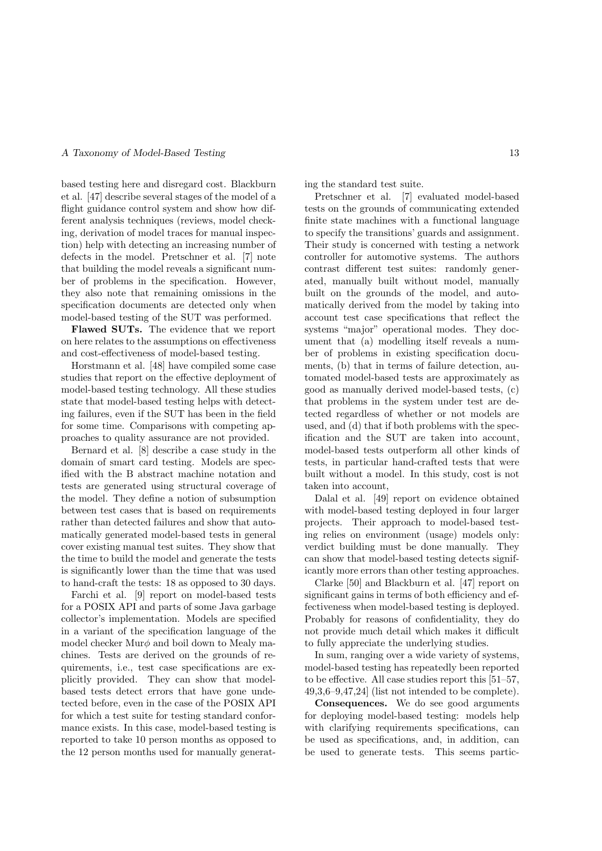based testing here and disregard cost. Blackburn et al. [47] describe several stages of the model of a flight guidance control system and show how different analysis techniques (reviews, model checking, derivation of model traces for manual inspection) help with detecting an increasing number of defects in the model. Pretschner et al. [7] note that building the model reveals a significant number of problems in the specification. However, they also note that remaining omissions in the specification documents are detected only when model-based testing of the SUT was performed.

Flawed SUTs. The evidence that we report on here relates to the assumptions on effectiveness and cost-effectiveness of model-based testing.

Horstmann et al. [48] have compiled some case studies that report on the effective deployment of model-based testing technology. All these studies state that model-based testing helps with detecting failures, even if the SUT has been in the field for some time. Comparisons with competing approaches to quality assurance are not provided.

Bernard et al. [8] describe a case study in the domain of smart card testing. Models are specified with the B abstract machine notation and tests are generated using structural coverage of the model. They define a notion of subsumption between test cases that is based on requirements rather than detected failures and show that automatically generated model-based tests in general cover existing manual test suites. They show that the time to build the model and generate the tests is significantly lower than the time that was used to hand-craft the tests: 18 as opposed to 30 days.

Farchi et al. [9] report on model-based tests for a POSIX API and parts of some Java garbage collector's implementation. Models are specified in a variant of the specification language of the model checker  $\text{Mur}\phi$  and boil down to Mealy machines. Tests are derived on the grounds of requirements, i.e., test case specifications are explicitly provided. They can show that modelbased tests detect errors that have gone undetected before, even in the case of the POSIX API for which a test suite for testing standard conformance exists. In this case, model-based testing is reported to take 10 person months as opposed to the 12 person months used for manually generating the standard test suite.

Pretschner et al. [7] evaluated model-based tests on the grounds of communicating extended finite state machines with a functional language to specify the transitions' guards and assignment. Their study is concerned with testing a network controller for automotive systems. The authors contrast different test suites: randomly generated, manually built without model, manually built on the grounds of the model, and automatically derived from the model by taking into account test case specifications that reflect the systems "major" operational modes. They document that (a) modelling itself reveals a number of problems in existing specification documents, (b) that in terms of failure detection, automated model-based tests are approximately as good as manually derived model-based tests, (c) that problems in the system under test are detected regardless of whether or not models are used, and (d) that if both problems with the specification and the SUT are taken into account, model-based tests outperform all other kinds of tests, in particular hand-crafted tests that were built without a model. In this study, cost is not taken into account,

Dalal et al. [49] report on evidence obtained with model-based testing deployed in four larger projects. Their approach to model-based testing relies on environment (usage) models only: verdict building must be done manually. They can show that model-based testing detects significantly more errors than other testing approaches.

Clarke [50] and Blackburn et al. [47] report on significant gains in terms of both efficiency and effectiveness when model-based testing is deployed. Probably for reasons of confidentiality, they do not provide much detail which makes it difficult to fully appreciate the underlying studies.

In sum, ranging over a wide variety of systems, model-based testing has repeatedly been reported to be effective. All case studies report this [51–57, 49,3,6–9,47,24] (list not intended to be complete).

Consequences. We do see good arguments for deploying model-based testing: models help with clarifying requirements specifications, can be used as specifications, and, in addition, can be used to generate tests. This seems partic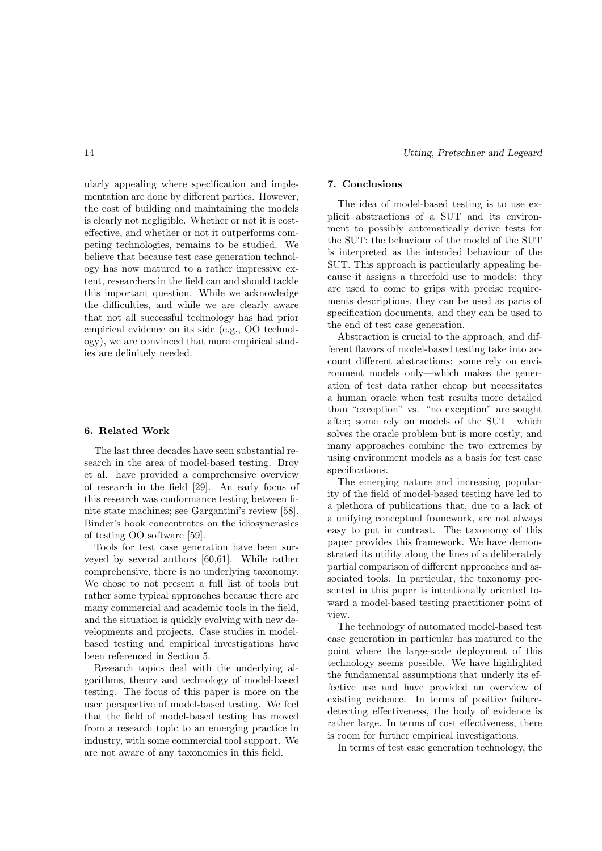ularly appealing where specification and implementation are done by different parties. However, the cost of building and maintaining the models is clearly not negligible. Whether or not it is costeffective, and whether or not it outperforms competing technologies, remains to be studied. We believe that because test case generation technology has now matured to a rather impressive extent, researchers in the field can and should tackle this important question. While we acknowledge the difficulties, and while we are clearly aware that not all successful technology has had prior empirical evidence on its side (e.g., OO technology), we are convinced that more empirical studies are definitely needed.

#### 6. Related Work

The last three decades have seen substantial research in the area of model-based testing. Broy et al. have provided a comprehensive overview of research in the field [29]. An early focus of this research was conformance testing between finite state machines; see Gargantini's review [58]. Binder's book concentrates on the idiosyncrasies of testing OO software [59].

Tools for test case generation have been surveyed by several authors [60,61]. While rather comprehensive, there is no underlying taxonomy. We chose to not present a full list of tools but rather some typical approaches because there are many commercial and academic tools in the field, and the situation is quickly evolving with new developments and projects. Case studies in modelbased testing and empirical investigations have been referenced in Section 5.

Research topics deal with the underlying algorithms, theory and technology of model-based testing. The focus of this paper is more on the user perspective of model-based testing. We feel that the field of model-based testing has moved from a research topic to an emerging practice in industry, with some commercial tool support. We are not aware of any taxonomies in this field.

## 7. Conclusions

The idea of model-based testing is to use explicit abstractions of a SUT and its environment to possibly automatically derive tests for the SUT: the behaviour of the model of the SUT is interpreted as the intended behaviour of the SUT. This approach is particularly appealing because it assigns a threefold use to models: they are used to come to grips with precise requirements descriptions, they can be used as parts of specification documents, and they can be used to the end of test case generation.

Abstraction is crucial to the approach, and different flavors of model-based testing take into account different abstractions: some rely on environment models only—which makes the generation of test data rather cheap but necessitates a human oracle when test results more detailed than "exception" vs. "no exception" are sought after; some rely on models of the SUT—which solves the oracle problem but is more costly; and many approaches combine the two extremes by using environment models as a basis for test case specifications.

The emerging nature and increasing popularity of the field of model-based testing have led to a plethora of publications that, due to a lack of a unifying conceptual framework, are not always easy to put in contrast. The taxonomy of this paper provides this framework. We have demonstrated its utility along the lines of a deliberately partial comparison of different approaches and associated tools. In particular, the taxonomy presented in this paper is intentionally oriented toward a model-based testing practitioner point of view.

The technology of automated model-based test case generation in particular has matured to the point where the large-scale deployment of this technology seems possible. We have highlighted the fundamental assumptions that underly its effective use and have provided an overview of existing evidence. In terms of positive failuredetecting effectiveness, the body of evidence is rather large. In terms of cost effectiveness, there is room for further empirical investigations.

In terms of test case generation technology, the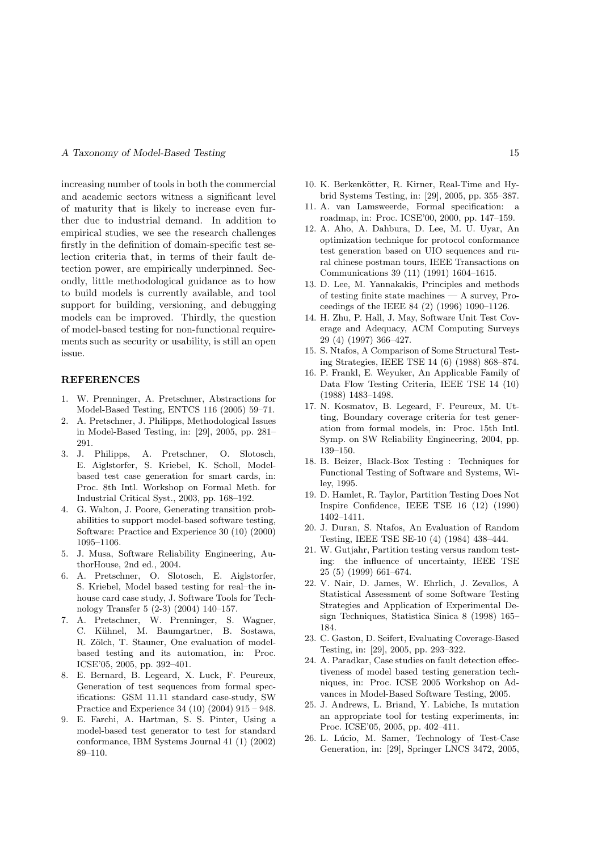increasing number of tools in both the commercial and academic sectors witness a significant level of maturity that is likely to increase even further due to industrial demand. In addition to empirical studies, we see the research challenges firstly in the definition of domain-specific test selection criteria that, in terms of their fault detection power, are empirically underpinned. Secondly, little methodological guidance as to how to build models is currently available, and tool support for building, versioning, and debugging models can be improved. Thirdly, the question of model-based testing for non-functional requirements such as security or usability, is still an open issue.

#### **REFERENCES**

- 1. W. Prenninger, A. Pretschner, Abstractions for Model-Based Testing, ENTCS 116 (2005) 59–71.
- 2. A. Pretschner, J. Philipps, Methodological Issues in Model-Based Testing, in: [29], 2005, pp. 281– 291.
- 3. J. Philipps, A. Pretschner, O. Slotosch, E. Aiglstorfer, S. Kriebel, K. Scholl, Modelbased test case generation for smart cards, in: Proc. 8th Intl. Workshop on Formal Meth. for Industrial Critical Syst., 2003, pp. 168–192.
- 4. G. Walton, J. Poore, Generating transition probabilities to support model-based software testing, Software: Practice and Experience 30 (10) (2000) 1095–1106.
- 5. J. Musa, Software Reliability Engineering, AuthorHouse, 2nd ed., 2004.
- 6. A. Pretschner, O. Slotosch, E. Aiglstorfer, S. Kriebel, Model based testing for real–the inhouse card case study, J. Software Tools for Technology Transfer 5 (2-3) (2004) 140–157.
- 7. A. Pretschner, W. Prenninger, S. Wagner, C. Kühnel, M. Baumgartner, B. Sostawa, R. Zölch, T. Stauner, One evaluation of modelbased testing and its automation, in: Proc. ICSE'05, 2005, pp. 392–401.
- 8. E. Bernard, B. Legeard, X. Luck, F. Peureux, Generation of test sequences from formal specifications: GSM 11.11 standard case-study, SW Practice and Experience 34 (10) (2004) 915 – 948.
- 9. E. Farchi, A. Hartman, S. S. Pinter, Using a model-based test generator to test for standard conformance, IBM Systems Journal 41 (1) (2002) 89–110.
- 10. K. Berkenkötter, R. Kirner, Real-Time and Hybrid Systems Testing, in: [29], 2005, pp. 355–387.
- 11. A. van Lamsweerde, Formal specification: a roadmap, in: Proc. ICSE'00, 2000, pp. 147–159.
- 12. A. Aho, A. Dahbura, D. Lee, M. U. Uyar, An optimization technique for protocol conformance test generation based on UIO sequences and rural chinese postman tours, IEEE Transactions on Communications 39 (11) (1991) 1604–1615.
- 13. D. Lee, M. Yannakakis, Principles and methods of testing finite state machines — A survey, Proceedings of the IEEE 84 (2) (1996) 1090–1126.
- 14. H. Zhu, P. Hall, J. May, Software Unit Test Coverage and Adequacy, ACM Computing Surveys 29 (4) (1997) 366–427.
- 15. S. Ntafos, A Comparison of Some Structural Testing Strategies, IEEE TSE 14 (6) (1988) 868–874.
- 16. P. Frankl, E. Weyuker, An Applicable Family of Data Flow Testing Criteria, IEEE TSE 14 (10) (1988) 1483–1498.
- 17. N. Kosmatov, B. Legeard, F. Peureux, M. Utting, Boundary coverage criteria for test generation from formal models, in: Proc. 15th Intl. Symp. on SW Reliability Engineering, 2004, pp. 139–150.
- 18. B. Beizer, Black-Box Testing : Techniques for Functional Testing of Software and Systems, Wiley, 1995.
- 19. D. Hamlet, R. Taylor, Partition Testing Does Not Inspire Confidence, IEEE TSE 16 (12) (1990) 1402–1411.
- 20. J. Duran, S. Ntafos, An Evaluation of Random Testing, IEEE TSE SE-10 (4) (1984) 438–444.
- 21. W. Gutjahr, Partition testing versus random testing: the influence of uncertainty, IEEE TSE 25 (5) (1999) 661–674.
- 22. V. Nair, D. James, W. Ehrlich, J. Zevallos, A Statistical Assessment of some Software Testing Strategies and Application of Experimental Design Techniques, Statistica Sinica 8 (1998) 165– 184.
- 23. C. Gaston, D. Seifert, Evaluating Coverage-Based Testing, in: [29], 2005, pp. 293–322.
- 24. A. Paradkar, Case studies on fault detection effectiveness of model based testing generation techniques, in: Proc. ICSE 2005 Workshop on Advances in Model-Based Software Testing, 2005.
- 25. J. Andrews, L. Briand, Y. Labiche, Is mutation an appropriate tool for testing experiments, in: Proc. ICSE'05, 2005, pp. 402–411.
- 26. L. Lúcio, M. Samer, Technology of Test-Case Generation, in: [29], Springer LNCS 3472, 2005,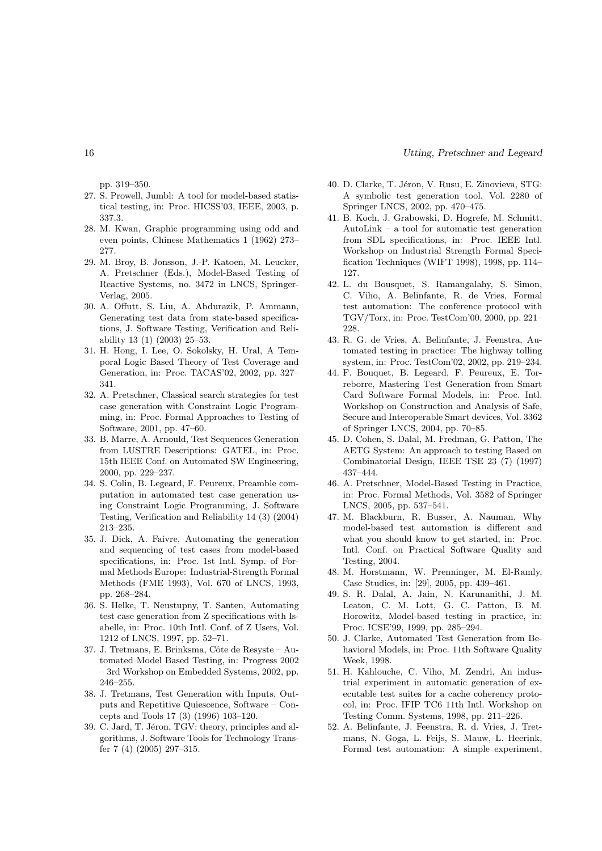pp. 319–350.

- 27. S. Prowell, Jumbl: A tool for model-based statistical testing, in: Proc. HICSS'03, IEEE, 2003, p. 337.3.
- 28. M. Kwan, Graphic programming using odd and even points, Chinese Mathematics 1 (1962) 273– 277.
- 29. M. Broy, B. Jonsson, J.-P. Katoen, M. Leucker, A. Pretschner (Eds.), Model-Based Testing of Reactive Systems, no. 3472 in LNCS, Springer-Verlag, 2005.
- 30. A. Offutt, S. Liu, A. Abdurazik, P. Ammann, Generating test data from state-based specifications, J. Software Testing, Verification and Reliability 13 (1) (2003) 25–53.
- 31. H. Hong, I. Lee, O. Sokolsky, H. Ural, A Temporal Logic Based Theory of Test Coverage and Generation, in: Proc. TACAS'02, 2002, pp. 327– 341.
- 32. A. Pretschner, Classical search strategies for test case generation with Constraint Logic Programming, in: Proc. Formal Approaches to Testing of Software, 2001, pp. 47–60.
- 33. B. Marre, A. Arnould, Test Sequences Generation from LUSTRE Descriptions: GATEL, in: Proc. 15th IEEE Conf. on Automated SW Engineering, 2000, pp. 229–237.
- 34. S. Colin, B. Legeard, F. Peureux, Preamble computation in automated test case generation using Constraint Logic Programming, J. Software Testing, Verification and Reliability 14 (3) (2004) 213–235.
- 35. J. Dick, A. Faivre, Automating the generation and sequencing of test cases from model-based specifications, in: Proc. 1st Intl. Symp. of Formal Methods Europe: Industrial-Strength Formal Methods (FME 1993), Vol. 670 of LNCS, 1993, pp. 268–284.
- 36. S. Helke, T. Neustupny, T. Santen, Automating test case generation from Z specifications with Isabelle, in: Proc. 10th Intl. Conf. of Z Users, Vol. 1212 of LNCS, 1997, pp. 52–71.
- 37. J. Tretmans, E. Brinksma, Côte de Resyste Automated Model Based Testing, in: Progress 2002 – 3rd Workshop on Embedded Systems, 2002, pp. 246–255.
- 38. J. Tretmans, Test Generation with Inputs, Outputs and Repetitive Quiescence, Software – Concepts and Tools 17 (3) (1996) 103–120.
- 39. C. Jard, T. Jéron, TGV: theory, principles and algorithms, J. Software Tools for Technology Transfer 7 (4) (2005) 297–315.
- 40. D. Clarke, T. Jéron, V. Rusu, E. Zinovieva, STG: A symbolic test generation tool, Vol. 2280 of Springer LNCS, 2002, pp. 470–475.
- 41. B. Koch, J. Grabowski, D. Hogrefe, M. Schmitt, AutoLink – a tool for automatic test generation from SDL specifications, in: Proc. IEEE Intl. Workshop on Industrial Strength Formal Specification Techniques (WIFT 1998), 1998, pp. 114– 127.
- 42. L. du Bousquet, S. Ramangalahy, S. Simon, C. Viho, A. Belinfante, R. de Vries, Formal test automation: The conference protocol with TGV/Torx, in: Proc. TestCom'00, 2000, pp. 221– 228.
- 43. R. G. de Vries, A. Belinfante, J. Feenstra, Automated testing in practice: The highway tolling system, in: Proc. TestCom'02, 2002, pp. 219–234.
- 44. F. Bouquet, B. Legeard, F. Peureux, E. Torreborre, Mastering Test Generation from Smart Card Software Formal Models, in: Proc. Intl. Workshop on Construction and Analysis of Safe, Secure and Interoperable Smart devices, Vol. 3362 of Springer LNCS, 2004, pp. 70–85.
- 45. D. Cohen, S. Dalal, M. Fredman, G. Patton, The AETG System: An approach to testing Based on Combinatorial Design, IEEE TSE 23 (7) (1997) 437–444.
- 46. A. Pretschner, Model-Based Testing in Practice, in: Proc. Formal Methods, Vol. 3582 of Springer LNCS, 2005, pp. 537–541.
- 47. M. Blackburn, R. Busser, A. Nauman, Why model-based test automation is different and what you should know to get started, in: Proc. Intl. Conf. on Practical Software Quality and Testing, 2004.
- 48. M. Horstmann, W. Prenninger, M. El-Ramly, Case Studies, in: [29], 2005, pp. 439–461.
- 49. S. R. Dalal, A. Jain, N. Karunanithi, J. M. Leaton, C. M. Lott, G. C. Patton, B. M. Horowitz, Model-based testing in practice, in: Proc. ICSE'99, 1999, pp. 285–294.
- 50. J. Clarke, Automated Test Generation from Behavioral Models, in: Proc. 11th Software Quality Week, 1998.
- 51. H. Kahlouche, C. Viho, M. Zendri, An industrial experiment in automatic generation of executable test suites for a cache coherency protocol, in: Proc. IFIP TC6 11th Intl. Workshop on Testing Comm. Systems, 1998, pp. 211–226.
- 52. A. Belinfante, J. Feenstra, R. d. Vries, J. Tretmans, N. Goga, L. Feijs, S. Mauw, L. Heerink, Formal test automation: A simple experiment,